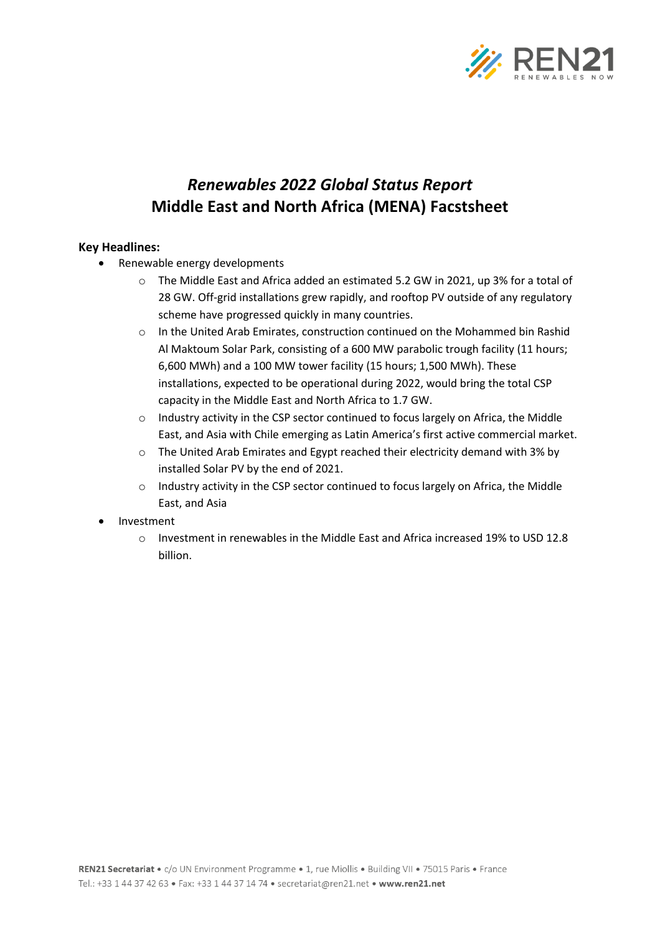

## *Renewables 2022 Global Status Report* **Middle East and North Africa (MENA) Facstsheet**

## **Key Headlines:**

- Renewable energy developments
	- o The Middle East and Africa added an estimated 5.2 GW in 2021, up 3% for a total of 28 GW. Off-grid installations grew rapidly, and rooftop PV outside of any regulatory scheme have progressed quickly in many countries.
	- o In the United Arab Emirates, construction continued on the Mohammed bin Rashid Al Maktoum Solar Park, consisting of a 600 MW parabolic trough facility (11 hours; 6,600 MWh) and a 100 MW tower facility (15 hours; 1,500 MWh). These installations, expected to be operational during 2022, would bring the total CSP capacity in the Middle East and North Africa to 1.7 GW.
	- $\circ$  Industry activity in the CSP sector continued to focus largely on Africa, the Middle East, and Asia with Chile emerging as Latin America's first active commercial market.
	- $\circ$  The United Arab Emirates and Egypt reached their electricity demand with 3% by installed Solar PV by the end of 2021.
	- o Industry activity in the CSP sector continued to focus largely on Africa, the Middle East, and Asia
- Investment
	- $\circ$  Investment in renewables in the Middle East and Africa increased 19% to USD 12.8 billion.